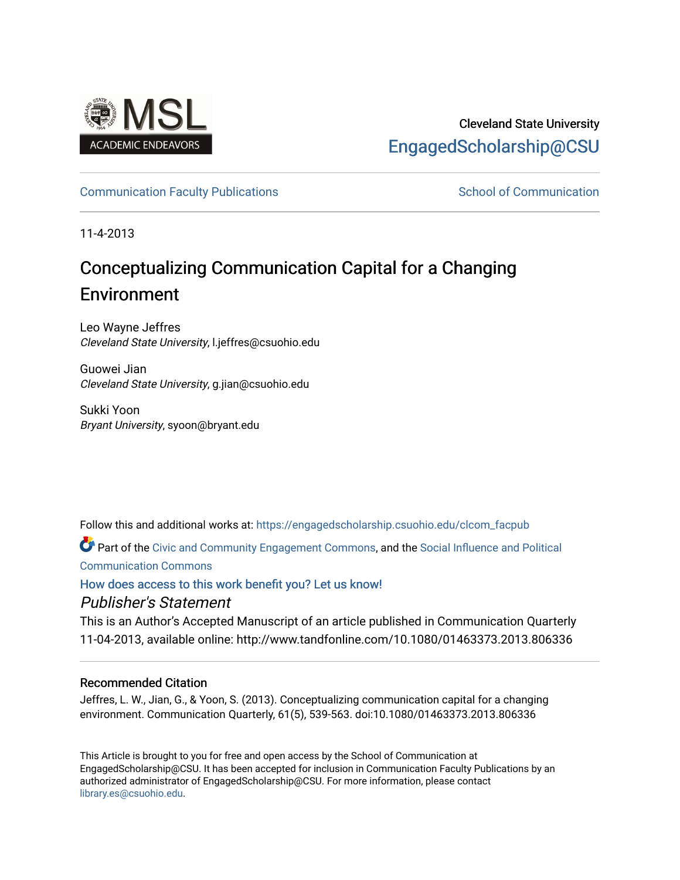

## Cleveland State University [EngagedScholarship@CSU](https://engagedscholarship.csuohio.edu/)

## [Communication Faculty Publications](https://engagedscholarship.csuohio.edu/clcom_facpub) [School of Communication](https://engagedscholarship.csuohio.edu/clcom) School of Communication

11-4-2013

# Conceptualizing Communication Capital for a Changing Environment

Leo Wayne Jeffres Cleveland State University, l.jeffres@csuohio.edu

Guowei Jian Cleveland State University, g.jian@csuohio.edu

Sukki Yoon Bryant University, syoon@bryant.edu

Follow this and additional works at: [https://engagedscholarship.csuohio.edu/clcom\\_facpub](https://engagedscholarship.csuohio.edu/clcom_facpub?utm_source=engagedscholarship.csuohio.edu%2Fclcom_facpub%2F1&utm_medium=PDF&utm_campaign=PDFCoverPages) 

Part of the [Civic and Community Engagement Commons](http://network.bepress.com/hgg/discipline/1028?utm_source=engagedscholarship.csuohio.edu%2Fclcom_facpub%2F1&utm_medium=PDF&utm_campaign=PDFCoverPages), and the [Social Influence and Political](http://network.bepress.com/hgg/discipline/337?utm_source=engagedscholarship.csuohio.edu%2Fclcom_facpub%2F1&utm_medium=PDF&utm_campaign=PDFCoverPages) [Communication Commons](http://network.bepress.com/hgg/discipline/337?utm_source=engagedscholarship.csuohio.edu%2Fclcom_facpub%2F1&utm_medium=PDF&utm_campaign=PDFCoverPages)

[How does access to this work benefit you? Let us know!](http://library.csuohio.edu/engaged/)

## Publisher's Statement

This is an Author's Accepted Manuscript of an article published in Communication Quarterly 11-04-2013, available online: http://www.tandfonline.com/10.1080/01463373.2013.806336

## Recommended Citation

Jeffres, L. W., Jian, G., & Yoon, S. (2013). Conceptualizing communication capital for a changing environment. Communication Quarterly, 61(5), 539-563. doi:10.1080/01463373.2013.806336

This Article is brought to you for free and open access by the School of Communication at EngagedScholarship@CSU. It has been accepted for inclusion in Communication Faculty Publications by an authorized administrator of EngagedScholarship@CSU. For more information, please contact [library.es@csuohio.edu.](mailto:library.es@csuohio.edu)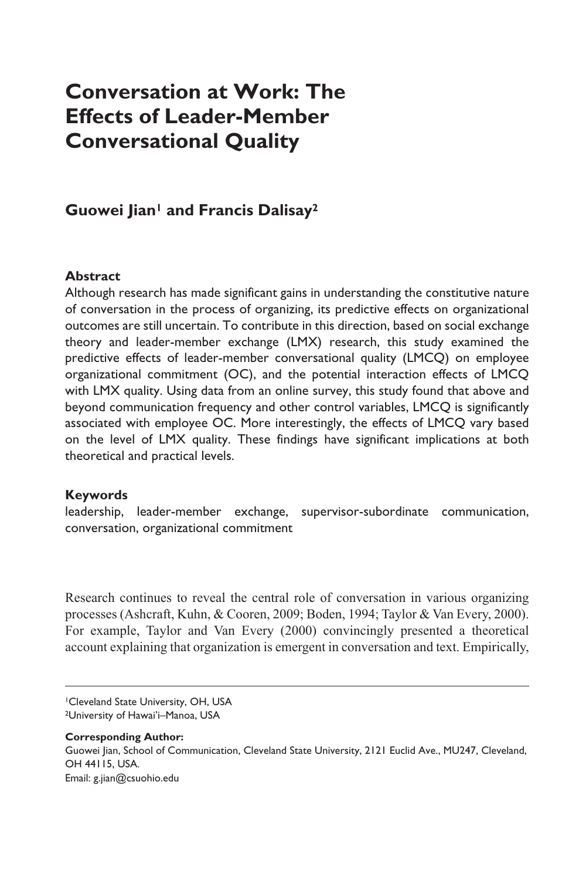## **Conversation at Work: The Effects of Leader-Member Conversational Quality**

## Guowei Jian<sup>1</sup> and Francis Dalisay<sup>2</sup>

#### **Abstract**

Although research has made significant gains in understanding the constitutive nature of conversation in the process of organizing, its predictive effects on organizational outcomes are still uncertain. To contribute in this direction, based on social exchange theory and leader-member exchange (LMX) research, this study examined the predictive effects of leader-member conversational quality (LMCQ) on employee organizational commitment (OC), and the potential interaction effects of LMCQ with LMX quality. Using data from an online survey, this study found that above and beyond communication frequency and other control variables, LMCQ is significantly associated with employee OC. More interestingly, the effects of LMCQ vary based on the level of LMX quality. These findings have significant implications at both theoretical and practical levels.

#### **Keywords**

leadership, leader-member exchange, supervisor-subordinate communication, conversation, organizational commitment

Research continues to reveal the central role of conversation in various organizing processes (Ashcraft, Kuhn, & Cooren, 2009; Boden, 1994; Taylor & Van Every, 2000). For example, Taylor and Van Every (2000) convincingly presented a theoretical account explaining that organization is emergent in conversation and text. Empirically,

1Cleveland State University, OH, USA 2University of Hawai'i–Manoa, USA

#### **Corresponding Author:**

Guowei Jian, School of Communication, Cleveland State University, 2121 Euclid Ave., MU247, Cleveland, OH 44115, USA. Email: g.jian@csuohio.edu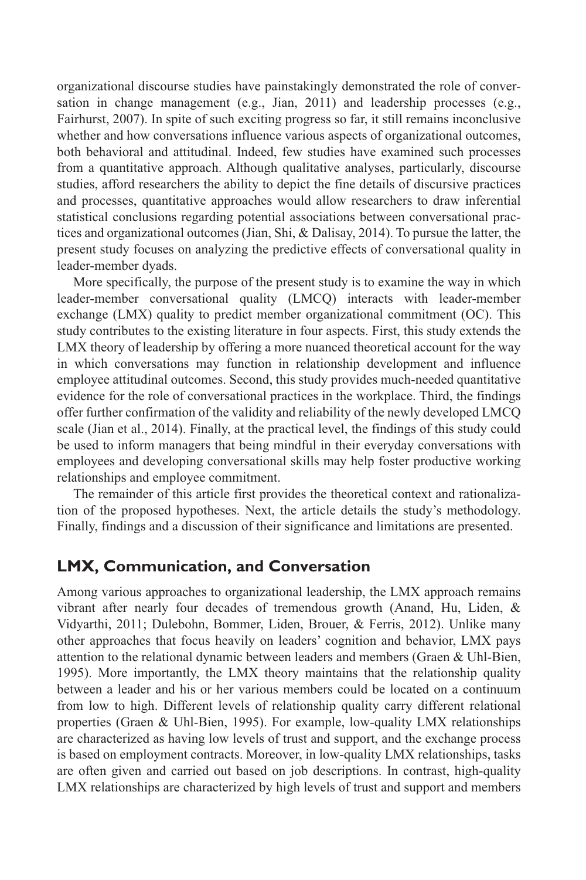organizational discourse studies have painstakingly demonstrated the role of conversation in change management (e.g., Jian, 2011) and leadership processes (e.g., Fairhurst, 2007). In spite of such exciting progress so far, it still remains inconclusive whether and how conversations influence various aspects of organizational outcomes, both behavioral and attitudinal. Indeed, few studies have examined such processes from a quantitative approach. Although qualitative analyses, particularly, discourse studies, afford researchers the ability to depict the fine details of discursive practices and processes, quantitative approaches would allow researchers to draw inferential statistical conclusions regarding potential associations between conversational practices and organizational outcomes (Jian, Shi, & Dalisay, 2014). To pursue the latter, the present study focuses on analyzing the predictive effects of conversational quality in leader-member dyads.

More specifically, the purpose of the present study is to examine the way in which leader-member conversational quality (LMCQ) interacts with leader-member exchange (LMX) quality to predict member organizational commitment (OC). This study contributes to the existing literature in four aspects. First, this study extends the LMX theory of leadership by offering a more nuanced theoretical account for the way in which conversations may function in relationship development and influence employee attitudinal outcomes. Second, this study provides much-needed quantitative evidence for the role of conversational practices in the workplace. Third, the findings offer further confirmation of the validity and reliability of the newly developed LMCQ scale (Jian et al., 2014). Finally, at the practical level, the findings of this study could be used to inform managers that being mindful in their everyday conversations with employees and developing conversational skills may help foster productive working relationships and employee commitment.

The remainder of this article first provides the theoretical context and rationalization of the proposed hypotheses. Next, the article details the study's methodology. Finally, findings and a discussion of their significance and limitations are presented.

### **LMX, Communication, and Conversation**

Among various approaches to organizational leadership, the LMX approach remains vibrant after nearly four decades of tremendous growth (Anand, Hu, Liden, & Vidyarthi, 2011; Dulebohn, Bommer, Liden, Brouer, & Ferris, 2012). Unlike many other approaches that focus heavily on leaders' cognition and behavior, LMX pays attention to the relational dynamic between leaders and members (Graen & Uhl-Bien, 1995). More importantly, the LMX theory maintains that the relationship quality between a leader and his or her various members could be located on a continuum from low to high. Different levels of relationship quality carry different relational properties (Graen & Uhl-Bien, 1995). For example, low-quality LMX relationships are characterized as having low levels of trust and support, and the exchange process is based on employment contracts. Moreover, in low-quality LMX relationships, tasks are often given and carried out based on job descriptions. In contrast, high-quality LMX relationships are characterized by high levels of trust and support and members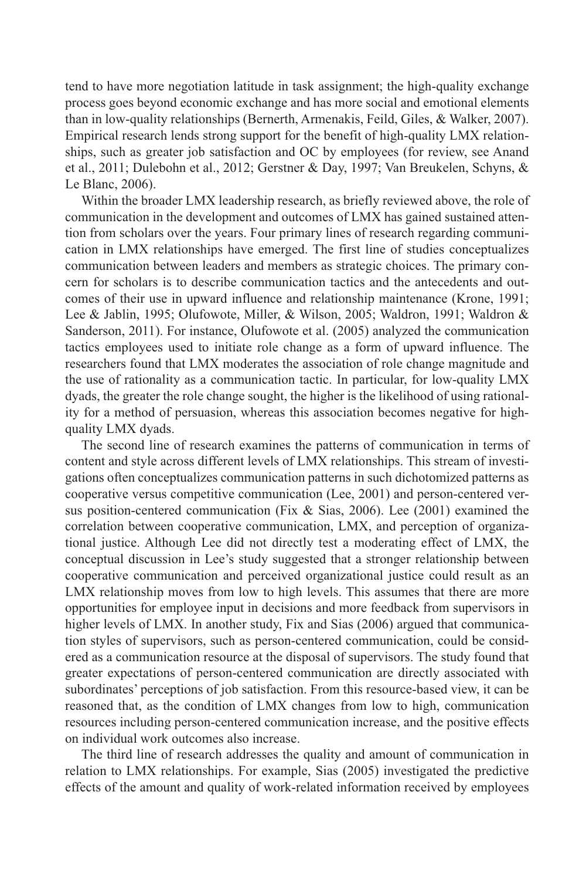tend to have more negotiation latitude in task assignment; the high-quality exchange process goes beyond economic exchange and has more social and emotional elements than in low-quality relationships (Bernerth, Armenakis, Feild, Giles, & Walker, 2007). Empirical research lends strong support for the benefit of high-quality LMX relationships, such as greater job satisfaction and OC by employees (for review, see Anand et al., 2011; Dulebohn et al., 2012; Gerstner & Day, 1997; Van Breukelen, Schyns, & Le Blanc, 2006).

Within the broader LMX leadership research, as briefly reviewed above, the role of communication in the development and outcomes of LMX has gained sustained attention from scholars over the years. Four primary lines of research regarding communication in LMX relationships have emerged. The first line of studies conceptualizes communication between leaders and members as strategic choices. The primary concern for scholars is to describe communication tactics and the antecedents and outcomes of their use in upward influence and relationship maintenance (Krone, 1991; Lee & Jablin, 1995; Olufowote, Miller, & Wilson, 2005; Waldron, 1991; Waldron & Sanderson, 2011). For instance, Olufowote et al. (2005) analyzed the communication tactics employees used to initiate role change as a form of upward influence. The researchers found that LMX moderates the association of role change magnitude and the use of rationality as a communication tactic. In particular, for low-quality LMX dyads, the greater the role change sought, the higher is the likelihood of using rationality for a method of persuasion, whereas this association becomes negative for highquality LMX dyads.

The second line of research examines the patterns of communication in terms of content and style across different levels of LMX relationships. This stream of investigations often conceptualizes communication patterns in such dichotomized patterns as cooperative versus competitive communication (Lee, 2001) and person-centered versus position-centered communication (Fix & Sias, 2006). Lee (2001) examined the correlation between cooperative communication, LMX, and perception of organizational justice. Although Lee did not directly test a moderating effect of LMX, the conceptual discussion in Lee's study suggested that a stronger relationship between cooperative communication and perceived organizational justice could result as an LMX relationship moves from low to high levels. This assumes that there are more opportunities for employee input in decisions and more feedback from supervisors in higher levels of LMX. In another study, Fix and Sias (2006) argued that communication styles of supervisors, such as person-centered communication, could be considered as a communication resource at the disposal of supervisors. The study found that greater expectations of person-centered communication are directly associated with subordinates' perceptions of job satisfaction. From this resource-based view, it can be reasoned that, as the condition of LMX changes from low to high, communication resources including person-centered communication increase, and the positive effects on individual work outcomes also increase.

The third line of research addresses the quality and amount of communication in relation to LMX relationships. For example, Sias (2005) investigated the predictive effects of the amount and quality of work-related information received by employees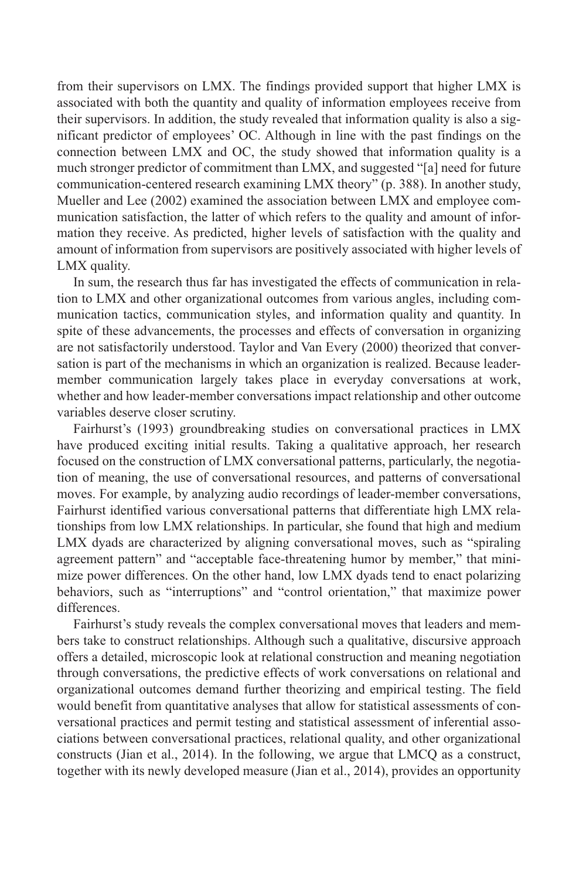from their supervisors on LMX. The findings provided support that higher LMX is associated with both the quantity and quality of information employees receive from their supervisors. In addition, the study revealed that information quality is also a significant predictor of employees' OC. Although in line with the past findings on the connection between LMX and OC, the study showed that information quality is a much stronger predictor of commitment than LMX, and suggested "[a] need for future communication-centered research examining LMX theory" (p. 388). In another study, Mueller and Lee (2002) examined the association between LMX and employee communication satisfaction, the latter of which refers to the quality and amount of information they receive. As predicted, higher levels of satisfaction with the quality and amount of information from supervisors are positively associated with higher levels of LMX quality.

In sum, the research thus far has investigated the effects of communication in relation to LMX and other organizational outcomes from various angles, including communication tactics, communication styles, and information quality and quantity. In spite of these advancements, the processes and effects of conversation in organizing are not satisfactorily understood. Taylor and Van Every (2000) theorized that conversation is part of the mechanisms in which an organization is realized. Because leadermember communication largely takes place in everyday conversations at work, whether and how leader-member conversations impact relationship and other outcome variables deserve closer scrutiny.

Fairhurst's (1993) groundbreaking studies on conversational practices in LMX have produced exciting initial results. Taking a qualitative approach, her research focused on the construction of LMX conversational patterns, particularly, the negotiation of meaning, the use of conversational resources, and patterns of conversational moves. For example, by analyzing audio recordings of leader-member conversations, Fairhurst identified various conversational patterns that differentiate high LMX relationships from low LMX relationships. In particular, she found that high and medium LMX dyads are characterized by aligning conversational moves, such as "spiraling agreement pattern" and "acceptable face-threatening humor by member," that minimize power differences. On the other hand, low LMX dyads tend to enact polarizing behaviors, such as "interruptions" and "control orientation," that maximize power differences.

Fairhurst's study reveals the complex conversational moves that leaders and members take to construct relationships. Although such a qualitative, discursive approach offers a detailed, microscopic look at relational construction and meaning negotiation through conversations, the predictive effects of work conversations on relational and organizational outcomes demand further theorizing and empirical testing. The field would benefit from quantitative analyses that allow for statistical assessments of conversational practices and permit testing and statistical assessment of inferential associations between conversational practices, relational quality, and other organizational constructs (Jian et al., 2014). In the following, we argue that LMCQ as a construct, together with its newly developed measure (Jian et al., 2014), provides an opportunity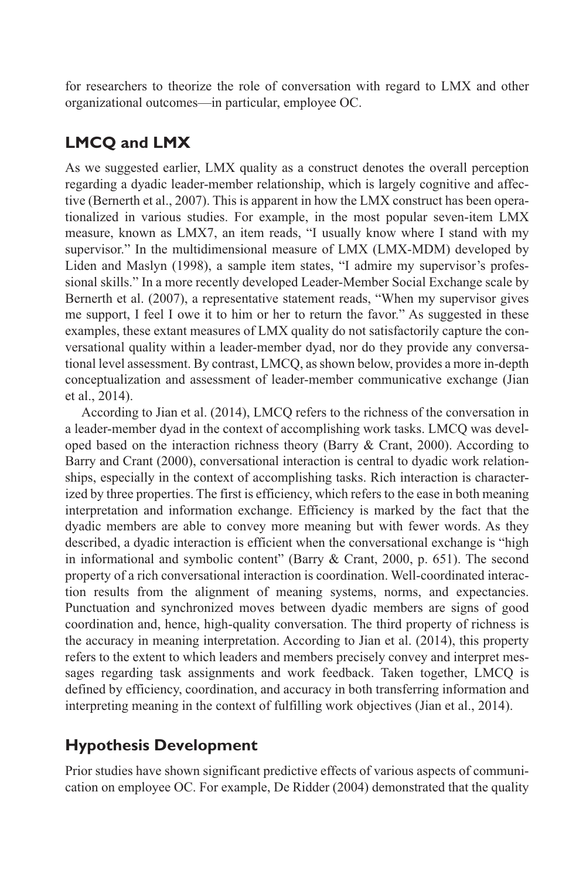for researchers to theorize the role of conversation with regard to LMX and other organizational outcomes—in particular, employee OC.

## **LMCQ and LMX**

As we suggested earlier, LMX quality as a construct denotes the overall perception regarding a dyadic leader-member relationship, which is largely cognitive and affective (Bernerth et al., 2007). This is apparent in how the LMX construct has been operationalized in various studies. For example, in the most popular seven-item LMX measure, known as LMX7, an item reads, "I usually know where I stand with my supervisor." In the multidimensional measure of LMX (LMX-MDM) developed by Liden and Maslyn (1998), a sample item states, "I admire my supervisor's professional skills." In a more recently developed Leader-Member Social Exchange scale by Bernerth et al. (2007), a representative statement reads, "When my supervisor gives me support, I feel I owe it to him or her to return the favor." As suggested in these examples, these extant measures of LMX quality do not satisfactorily capture the conversational quality within a leader-member dyad, nor do they provide any conversational level assessment. By contrast, LMCQ, as shown below, provides a more in-depth conceptualization and assessment of leader-member communicative exchange (Jian et al., 2014).

According to Jian et al. (2014), LMCQ refers to the richness of the conversation in a leader-member dyad in the context of accomplishing work tasks. LMCQ was developed based on the interaction richness theory (Barry  $\&$  Crant, 2000). According to Barry and Crant (2000), conversational interaction is central to dyadic work relationships, especially in the context of accomplishing tasks. Rich interaction is characterized by three properties. The first is efficiency, which refers to the ease in both meaning interpretation and information exchange. Efficiency is marked by the fact that the dyadic members are able to convey more meaning but with fewer words. As they described, a dyadic interaction is efficient when the conversational exchange is "high in informational and symbolic content" (Barry & Crant, 2000, p. 651). The second property of a rich conversational interaction is coordination. Well-coordinated interaction results from the alignment of meaning systems, norms, and expectancies. Punctuation and synchronized moves between dyadic members are signs of good coordination and, hence, high-quality conversation. The third property of richness is the accuracy in meaning interpretation. According to Jian et al. (2014), this property refers to the extent to which leaders and members precisely convey and interpret messages regarding task assignments and work feedback. Taken together, LMCQ is defined by efficiency, coordination, and accuracy in both transferring information and interpreting meaning in the context of fulfilling work objectives (Jian et al., 2014).

## **Hypothesis Development**

Prior studies have shown significant predictive effects of various aspects of communication on employee OC. For example, De Ridder (2004) demonstrated that the quality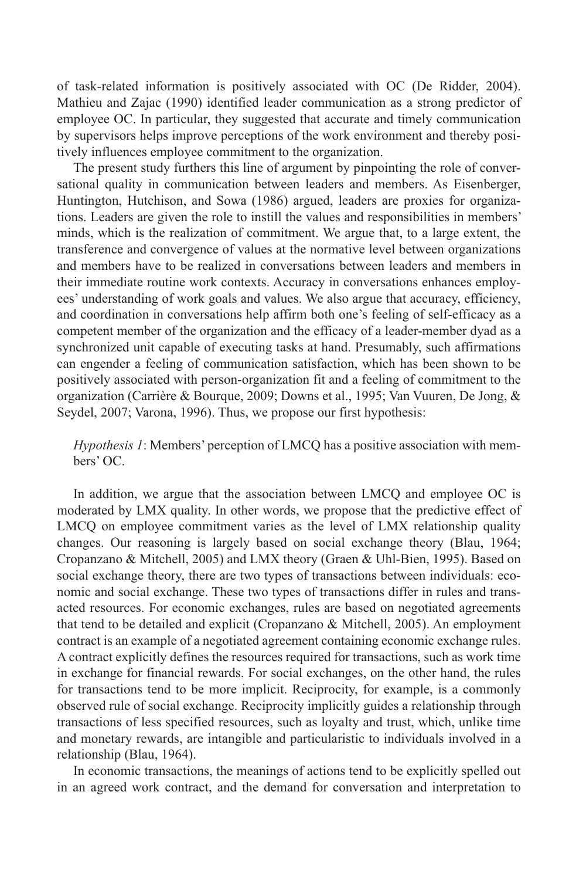of task-related information is positively associated with OC (De Ridder, 2004). Mathieu and Zajac (1990) identified leader communication as a strong predictor of employee OC. In particular, they suggested that accurate and timely communication by supervisors helps improve perceptions of the work environment and thereby positively influences employee commitment to the organization.

The present study furthers this line of argument by pinpointing the role of conversational quality in communication between leaders and members. As Eisenberger, Huntington, Hutchison, and Sowa (1986) argued, leaders are proxies for organizations. Leaders are given the role to instill the values and responsibilities in members' minds, which is the realization of commitment. We argue that, to a large extent, the transference and convergence of values at the normative level between organizations and members have to be realized in conversations between leaders and members in their immediate routine work contexts. Accuracy in conversations enhances employees' understanding of work goals and values. We also argue that accuracy, efficiency, and coordination in conversations help affirm both one's feeling of self-efficacy as a competent member of the organization and the efficacy of a leader-member dyad as a synchronized unit capable of executing tasks at hand. Presumably, such affirmations can engender a feeling of communication satisfaction, which has been shown to be positively associated with person-organization fit and a feeling of commitment to the organization (Carrière & Bourque, 2009; Downs et al., 1995; Van Vuuren, De Jong, & Seydel, 2007; Varona, 1996). Thus, we propose our first hypothesis:

*Hypothesis 1*: Members' perception of LMCQ has a positive association with members' OC.

In addition, we argue that the association between LMCQ and employee OC is moderated by LMX quality. In other words, we propose that the predictive effect of LMCQ on employee commitment varies as the level of LMX relationship quality changes. Our reasoning is largely based on social exchange theory (Blau, 1964; Cropanzano & Mitchell, 2005) and LMX theory (Graen & Uhl-Bien, 1995). Based on social exchange theory, there are two types of transactions between individuals: economic and social exchange. These two types of transactions differ in rules and transacted resources. For economic exchanges, rules are based on negotiated agreements that tend to be detailed and explicit (Cropanzano & Mitchell, 2005). An employment contract is an example of a negotiated agreement containing economic exchange rules. A contract explicitly defines the resources required for transactions, such as work time in exchange for financial rewards. For social exchanges, on the other hand, the rules for transactions tend to be more implicit. Reciprocity, for example, is a commonly observed rule of social exchange. Reciprocity implicitly guides a relationship through transactions of less specified resources, such as loyalty and trust, which, unlike time and monetary rewards, are intangible and particularistic to individuals involved in a relationship (Blau, 1964).

In economic transactions, the meanings of actions tend to be explicitly spelled out in an agreed work contract, and the demand for conversation and interpretation to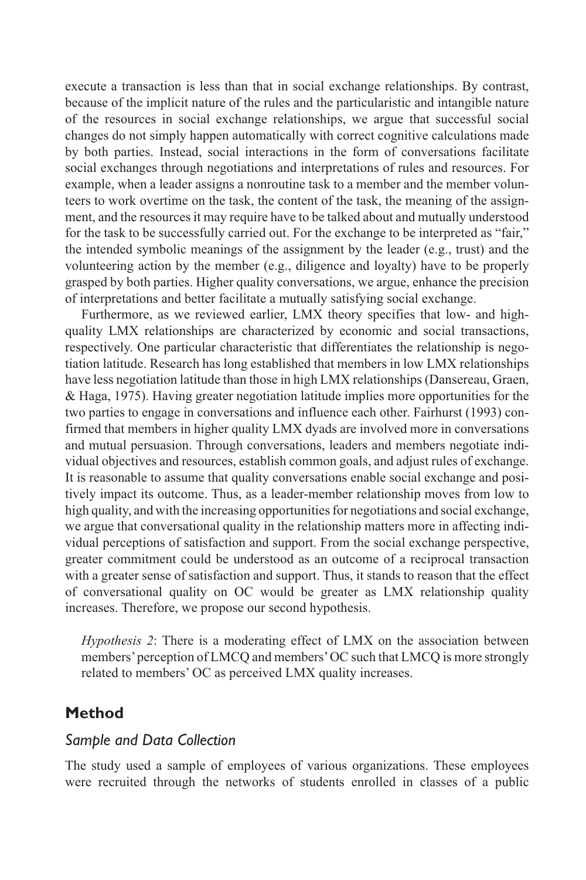execute a transaction is less than that in social exchange relationships. By contrast, because of the implicit nature of the rules and the particularistic and intangible nature of the resources in social exchange relationships, we argue that successful social changes do not simply happen automatically with correct cognitive calculations made by both parties. Instead, social interactions in the form of conversations facilitate social exchanges through negotiations and interpretations of rules and resources. For example, when a leader assigns a nonroutine task to a member and the member volunteers to work overtime on the task, the content of the task, the meaning of the assignment, and the resources it may require have to be talked about and mutually understood for the task to be successfully carried out. For the exchange to be interpreted as "fair," the intended symbolic meanings of the assignment by the leader (e.g., trust) and the volunteering action by the member (e.g., diligence and loyalty) have to be properly grasped by both parties. Higher quality conversations, we argue, enhance the precision of interpretations and better facilitate a mutually satisfying social exchange.

Furthermore, as we reviewed earlier, LMX theory specifies that low- and highquality LMX relationships are characterized by economic and social transactions, respectively. One particular characteristic that differentiates the relationship is negotiation latitude. Research has long established that members in low LMX relationships have less negotiation latitude than those in high LMX relationships (Dansereau, Graen, & Haga, 1975). Having greater negotiation latitude implies more opportunities for the two parties to engage in conversations and influence each other. Fairhurst (1993) confirmed that members in higher quality LMX dyads are involved more in conversations and mutual persuasion. Through conversations, leaders and members negotiate individual objectives and resources, establish common goals, and adjust rules of exchange. It is reasonable to assume that quality conversations enable social exchange and positively impact its outcome. Thus, as a leader-member relationship moves from low to high quality, and with the increasing opportunities for negotiations and social exchange, we argue that conversational quality in the relationship matters more in affecting individual perceptions of satisfaction and support. From the social exchange perspective, greater commitment could be understood as an outcome of a reciprocal transaction with a greater sense of satisfaction and support. Thus, it stands to reason that the effect of conversational quality on OC would be greater as LMX relationship quality increases. Therefore, we propose our second hypothesis.

*Hypothesis 2*: There is a moderating effect of LMX on the association between members' perception of LMCQ and members' OC such that LMCQ is more strongly related to members' OC as perceived LMX quality increases.

## **Method**

#### *Sample and Data Collection*

The study used a sample of employees of various organizations. These employees were recruited through the networks of students enrolled in classes of a public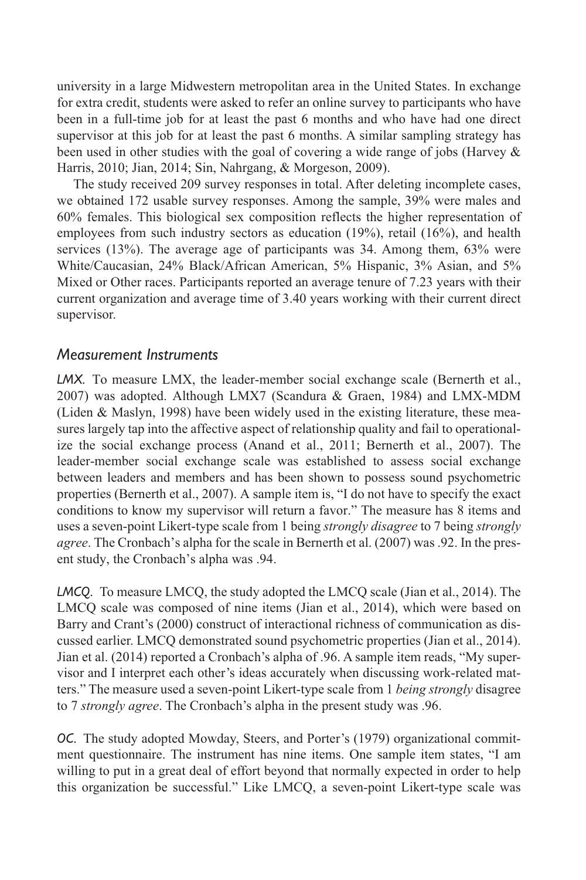university in a large Midwestern metropolitan area in the United States. In exchange for extra credit, students were asked to refer an online survey to participants who have been in a full-time job for at least the past 6 months and who have had one direct supervisor at this job for at least the past 6 months. A similar sampling strategy has been used in other studies with the goal of covering a wide range of jobs (Harvey & Harris, 2010; Jian, 2014; Sin, Nahrgang, & Morgeson, 2009).

The study received 209 survey responses in total. After deleting incomplete cases, we obtained 172 usable survey responses. Among the sample, 39% were males and 60% females. This biological sex composition reflects the higher representation of employees from such industry sectors as education (19%), retail (16%), and health services (13%). The average age of participants was 34. Among them, 63% were White/Caucasian, 24% Black/African American, 5% Hispanic, 3% Asian, and 5% Mixed or Other races. Participants reported an average tenure of 7.23 years with their current organization and average time of 3.40 years working with their current direct supervisor.

#### *Measurement Instruments*

*LMX.* To measure LMX, the leader-member social exchange scale (Bernerth et al., 2007) was adopted. Although LMX7 (Scandura & Graen, 1984) and LMX-MDM (Liden & Maslyn, 1998) have been widely used in the existing literature, these measures largely tap into the affective aspect of relationship quality and fail to operationalize the social exchange process (Anand et al., 2011; Bernerth et al., 2007). The leader-member social exchange scale was established to assess social exchange between leaders and members and has been shown to possess sound psychometric properties (Bernerth et al., 2007). A sample item is, "I do not have to specify the exact conditions to know my supervisor will return a favor." The measure has 8 items and uses a seven-point Likert-type scale from 1 being *strongly disagree* to 7 being *strongly agree*. The Cronbach's alpha for the scale in Bernerth et al. (2007) was .92. In the present study, the Cronbach's alpha was .94.

*LMCQ.* To measure LMCQ, the study adopted the LMCQ scale (Jian et al., 2014). The LMCQ scale was composed of nine items (Jian et al., 2014), which were based on Barry and Crant's (2000) construct of interactional richness of communication as discussed earlier. LMCQ demonstrated sound psychometric properties (Jian et al., 2014). Jian et al. (2014) reported a Cronbach's alpha of .96. A sample item reads, "My supervisor and I interpret each other's ideas accurately when discussing work-related matters." The measure used a seven-point Likert-type scale from 1 *being strongly* disagree to 7 *strongly agree*. The Cronbach's alpha in the present study was .96.

*OC.* The study adopted Mowday, Steers, and Porter's (1979) organizational commitment questionnaire. The instrument has nine items. One sample item states, "I am willing to put in a great deal of effort beyond that normally expected in order to help this organization be successful." Like LMCQ, a seven-point Likert-type scale was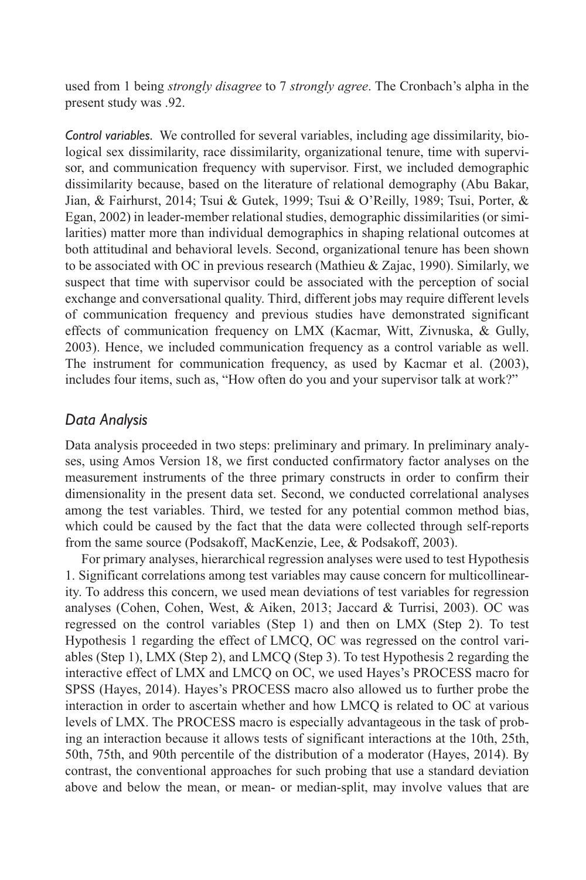used from 1 being *strongly disagree* to 7 *strongly agree*. The Cronbach's alpha in the present study was .92.

*Control variables.* We controlled for several variables, including age dissimilarity, biological sex dissimilarity, race dissimilarity, organizational tenure, time with supervisor, and communication frequency with supervisor. First, we included demographic dissimilarity because, based on the literature of relational demography (Abu Bakar, Jian, & Fairhurst, 2014; Tsui & Gutek, 1999; Tsui & O'Reilly, 1989; Tsui, Porter, & Egan, 2002) in leader-member relational studies, demographic dissimilarities (or similarities) matter more than individual demographics in shaping relational outcomes at both attitudinal and behavioral levels. Second, organizational tenure has been shown to be associated with OC in previous research (Mathieu & Zajac, 1990). Similarly, we suspect that time with supervisor could be associated with the perception of social exchange and conversational quality. Third, different jobs may require different levels of communication frequency and previous studies have demonstrated significant effects of communication frequency on LMX (Kacmar, Witt, Zivnuska, & Gully, 2003). Hence, we included communication frequency as a control variable as well. The instrument for communication frequency, as used by Kacmar et al. (2003), includes four items, such as, "How often do you and your supervisor talk at work?"

## *Data Analysis*

Data analysis proceeded in two steps: preliminary and primary. In preliminary analyses, using Amos Version 18, we first conducted confirmatory factor analyses on the measurement instruments of the three primary constructs in order to confirm their dimensionality in the present data set. Second, we conducted correlational analyses among the test variables. Third, we tested for any potential common method bias, which could be caused by the fact that the data were collected through self-reports from the same source (Podsakoff, MacKenzie, Lee, & Podsakoff, 2003).

For primary analyses, hierarchical regression analyses were used to test Hypothesis 1. Significant correlations among test variables may cause concern for multicollinearity. To address this concern, we used mean deviations of test variables for regression analyses (Cohen, Cohen, West, & Aiken, 2013; Jaccard & Turrisi, 2003). OC was regressed on the control variables (Step 1) and then on LMX (Step 2). To test Hypothesis 1 regarding the effect of LMCQ, OC was regressed on the control variables (Step 1), LMX (Step 2), and LMCQ (Step 3). To test Hypothesis 2 regarding the interactive effect of LMX and LMCQ on OC, we used Hayes's PROCESS macro for SPSS (Hayes, 2014). Hayes's PROCESS macro also allowed us to further probe the interaction in order to ascertain whether and how LMCQ is related to OC at various levels of LMX. The PROCESS macro is especially advantageous in the task of probing an interaction because it allows tests of significant interactions at the 10th, 25th, 50th, 75th, and 90th percentile of the distribution of a moderator (Hayes, 2014). By contrast, the conventional approaches for such probing that use a standard deviation above and below the mean, or mean- or median-split, may involve values that are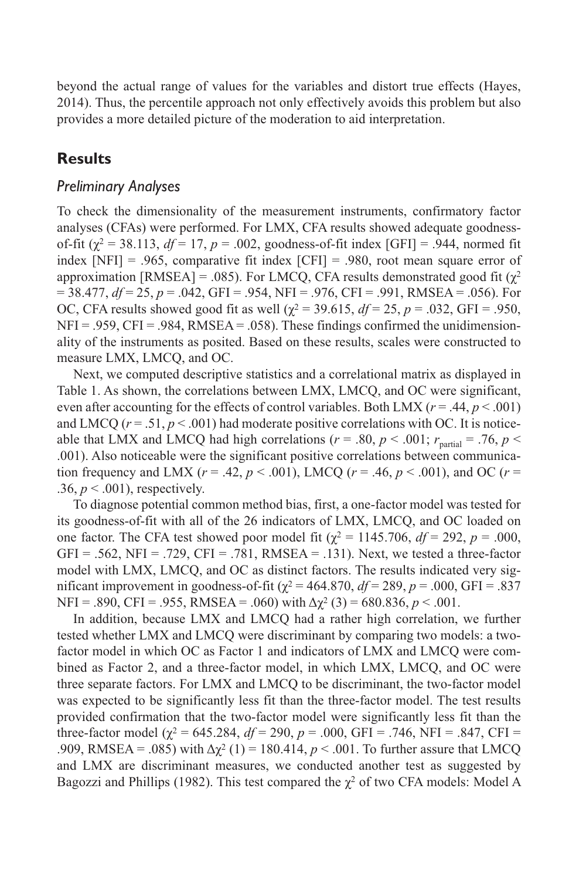beyond the actual range of values for the variables and distort true effects (Hayes, 2014). Thus, the percentile approach not only effectively avoids this problem but also provides a more detailed picture of the moderation to aid interpretation.

## **Results**

#### *Preliminary Analyses*

To check the dimensionality of the measurement instruments, confirmatory factor analyses (CFAs) were performed. For LMX, CFA results showed adequate goodnessof-fit ( $\chi^2$  = 38.113,  $df = 17$ ,  $p = .002$ , goodness-of-fit index [GFI] = .944, normed fit index  $[NFI] = .965$ , comparative fit index  $[CFI] = .980$ , root mean square error of approximation [RMSEA] = .085). For LMCQ, CFA results demonstrated good fit ( $\gamma^2$ = 38.477, *df* = 25, *p* = .042, GFI = .954, NFI = .976, CFI = .991, RMSEA = .056). For OC, CFA results showed good fit as well ( $χ$ <sup>2</sup> = 39.615,  $df$  = 25, *p* = .032, GFI = .950,  $NFI = .959, CFI = .984, RMSEA = .058$ . These findings confirmed the unidimensionality of the instruments as posited. Based on these results, scales were constructed to measure LMX, LMCQ, and OC.

Next, we computed descriptive statistics and a correlational matrix as displayed in Table 1. As shown, the correlations between LMX, LMCQ, and OC were significant, even after accounting for the effects of control variables. Both LMX ( $r = .44$ ,  $p < .001$ ) and LMCQ  $(r = .51, p < .001)$  had moderate positive correlations with OC. It is noticeable that LMX and LMCQ had high correlations ( $r = .80$ ,  $p < .001$ ;  $r_{\text{partial}} = .76$ ,  $p <$ .001). Also noticeable were the significant positive correlations between communication frequency and LMX ( $r = .42$ ,  $p < .001$ ), LMCQ ( $r = .46$ ,  $p < .001$ ), and OC ( $r =$ .36,  $p < .001$ ), respectively.

To diagnose potential common method bias, first, a one-factor model was tested for its goodness-of-fit with all of the 26 indicators of LMX, LMCQ, and OC loaded on one factor. The CFA test showed poor model fit ( $\chi^2$  = 1145.706,  $df$  = 292,  $p$  = .000,  $GFI = .562$ ,  $NFI = .729$ ,  $CFI = .781$ ,  $RMSEA = .131$ ). Next, we tested a three-factor model with LMX, LMCQ, and OC as distinct factors. The results indicated very significant improvement in goodness-of-fit ( $χ$ <sup>2</sup> = 464.870, *df* = 289, *p* = .000, GFI = .837 NFI = .890, CFI = .955, RMSEA = .060) with  $\Delta \chi^2$  (3) = 680.836, *p* < .001.

In addition, because LMX and LMCQ had a rather high correlation, we further tested whether LMX and LMCQ were discriminant by comparing two models: a twofactor model in which OC as Factor 1 and indicators of LMX and LMCQ were combined as Factor 2, and a three-factor model, in which LMX, LMCQ, and OC were three separate factors. For LMX and LMCQ to be discriminant, the two-factor model was expected to be significantly less fit than the three-factor model. The test results provided confirmation that the two-factor model were significantly less fit than the three-factor model ( $\chi^2$  = 645.284,  $df$  = 290,  $p$  = .000, GFI = .746, NFI = .847, CFI = .909, RMSEA = .085) with  $\Delta \chi^2$  (1) = 180.414, *p* < .001. To further assure that LMCQ and LMX are discriminant measures, we conducted another test as suggested by Bagozzi and Phillips (1982). This test compared the  $\chi^2$  of two CFA models: Model A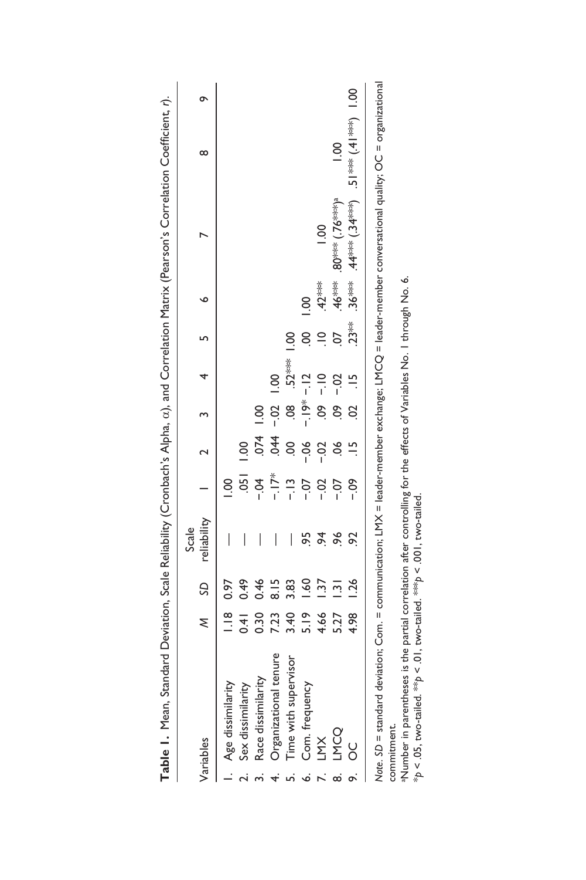|          |                                                                                                                                                     |               |                 | $\overline{\phantom{a}}$ |                  |               | $\ddot{\phantom{0}}$ |                                     |                |               |                                  |                |  |
|----------|-----------------------------------------------------------------------------------------------------------------------------------------------------|---------------|-----------------|--------------------------|------------------|---------------|----------------------|-------------------------------------|----------------|---------------|----------------------------------|----------------|--|
|          | Variables                                                                                                                                           |               | US W            | reliability<br>Scale     |                  |               |                      | $1 \quad 2 \quad 3 \quad 4 \quad 5$ |                |               |                                  | ∞              |  |
|          | $I.$ Age dissimilarity                                                                                                                              |               | $1.18$ 0.97     |                          |                  |               |                      |                                     |                |               |                                  |                |  |
|          | Sex dissimilarity                                                                                                                                   | 0.41          | 0.49            |                          | $-51$            | $rac{1}{2}$   |                      |                                     |                |               |                                  |                |  |
|          | Race dissimilarity                                                                                                                                  | 0.30          | 0.46            | I                        | 50               | .074          | $\frac{0}{100}$      |                                     |                |               |                                  |                |  |
|          | Organizational tenure                                                                                                                               | 7.23          | $\frac{15}{20}$ |                          | $\sum_{i=1}^{k}$ |               | $.044 - .02$ 1.00    |                                     |                |               |                                  |                |  |
|          | Time with supervisor                                                                                                                                | 3.40          | 3.83            | I                        | $\frac{13}{1}$   | S             |                      | $.08 - 52***$                       | $\frac{0}{10}$ |               |                                  |                |  |
| .<br>ف   | Com. frequency                                                                                                                                      | $\frac{9}{2}$ | $rac{60}{1}$    | 95                       | $-0-$            | $-06$         | $-19* -12$           |                                     | S              | $\frac{8}{1}$ |                                  |                |  |
|          | LMX                                                                                                                                                 | 4.66          | $\overline{37}$ | $\dot{6}$                | $-0.2$           | $-0.2$        |                      | $01 - 10$                           | $\frac{1}{2}$  | $.42***$      |                                  |                |  |
| $\infty$ | LMCQ                                                                                                                                                | 5.27          | $\overline{3}$  | $\frac{6}{2}$            | $-0.7$           | Š.            |                      | $0.09 - 0.02$                       | 5O             | .46***        | $16$ <sup>***</sup> 07. $16$ *** | $\frac{8}{10}$ |  |
|          | 00                                                                                                                                                  | 4.98          | 1.26            | S.                       | $-0.09$          | $\frac{5}{1}$ | $\overline{c}$       | $\frac{5}{1}$                       | $.23**$        |               |                                  |                |  |
|          | Note. SD = standard deviation: Com. = communication; LMX = leader-member exchange; LMCQ = leader-member conversational quality; OC = organizational |               |                 |                          |                  |               |                      |                                     |                |               |                                  |                |  |

Table 1. Mean, Standard Deviation, Scale Reliability (Cronbach's Alpha, v.), and Correlation Matrix (Pearson's Correlation Coefficient, r). **Table 1.** Mean, Standard Deviation, Scale Reliability (Cronbach's Alpha, α), and Correlation Matrix (Pearson's Correlation Coefficient, *r*). *Note. SD* = standard deviation; Com. = communication; LMX = leader-member exchange; LMCQ = leader-member conversational quality; OC = organizational  $\ddot{\cdot}$ Ļ. commitment. commitment.

Number in parentheses is the partial correlation after controlling for the effects of Variables No. I through No. 6.<br>\*p < .05, two-tailed. \*\*p < .01, two-tailed. \*\*\*p < .001, two-tailed. aNumber in parentheses is the partial correlation after controlling for the effects of Variables No. 1 through No. 6.

\**p* < .05, two-tailed. \*\**p* < .01, two-tailed. \*\*\**p* < .001, two-tailed.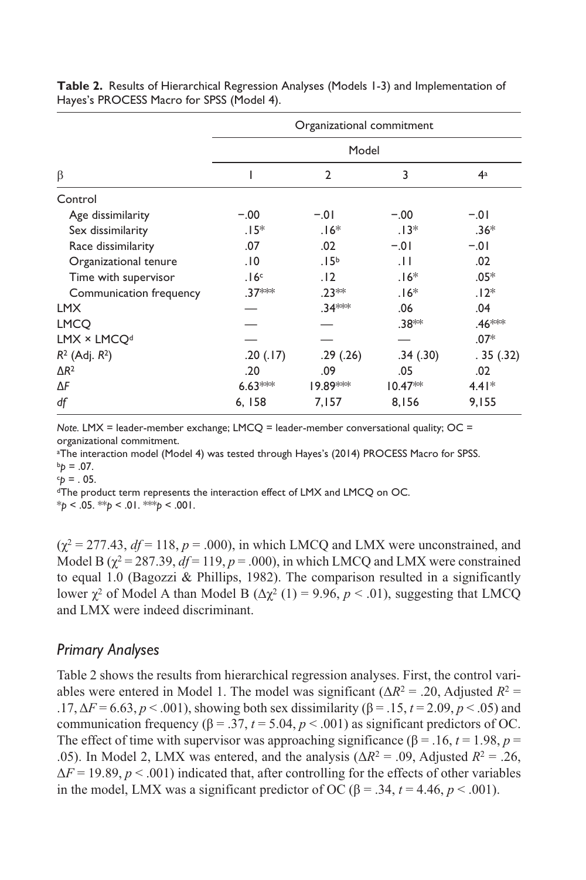|                         |                    | Organizational commitment |                    |                    |
|-------------------------|--------------------|---------------------------|--------------------|--------------------|
|                         |                    | Model                     |                    |                    |
| $\beta$                 |                    | $\overline{2}$            | 3                  | 4 <sup>a</sup>     |
| Control                 |                    |                           |                    |                    |
| Age dissimilarity       | $-.00$             | $-.01$                    | $-.00$             | $-.01$             |
| Sex dissimilarity       | $.15*$             | $.16*$                    | $.13*$             | $.36*$             |
| Race dissimilarity      | .07                | .02                       | $-.01$             | $-.01$             |
| Organizational tenure   | .10                | .15 <sup>b</sup>          | .11                | .02                |
| Time with supervisor    | .16c               | .12                       | $.16*$             | $.05*$             |
| Communication frequency | .37 <sup>***</sup> | $.23**$                   | $.16*$             | $.12*$             |
| <b>LMX</b>              |                    | .34***                    | .06                | .04                |
| <b>LMCO</b>             |                    |                           | .38 <sup>*</sup> * | .46 <sup>***</sup> |
| LMX × LMCO <sup>d</sup> |                    |                           |                    | $.07*$             |
| $R^2$ (Adj. $R^2$ )     | .20(.17)           | .29(.26)                  | .34(.30)           | .35(.32)           |
| $\Delta R^2$            | .20                | .09                       | .05                | .02                |
| ΔF                      | $6.63***$          | 19.89***                  | $10.47**$          | $4.41*$            |
| df                      | 6, 158             | 7,157                     | 8,156              | 9,155              |

**Table 2.** Results of Hierarchical Regression Analyses (Models 1-3) and Implementation of Hayes's PROCESS Macro for SPSS (Model 4).

*Note.* LMX = leader-member exchange; LMCQ = leader-member conversational quality; OC = organizational commitment.

a The interaction model (Model 4) was tested through Hayes's (2014) PROCESS Macro for SPSS.  $b_p = .07$ .

 $c_p = 0.05$ .

dThe product term represents the interaction effect of LMX and LMCQ on OC.  $*_{p}$  < .05.  $*_{p}$  < .01.  $*_{p}$  < .001.

 $(\gamma^2 = 277.43, df = 118, p = .000)$ , in which LMCO and LMX were unconstrained, and Model B  $(\gamma^2 = 287.39, df = 119, p = .000)$ , in which LMCO and LMX were constrained to equal 1.0 (Bagozzi & Phillips, 1982). The comparison resulted in a significantly lower  $\gamma^2$  of Model A than Model B ( $\Delta \gamma^2$  (1) = 9.96, *p* < .01), suggesting that LMCO and LMX were indeed discriminant.

## *Primary Analyses*

Table 2 shows the results from hierarchical regression analyses. First, the control variables were entered in Model 1. The model was significant ( $\Delta R^2 = .20$ , Adjusted  $R^2 =$ .17,  $\Delta F = 6.63$ ,  $p < .001$ ), showing both sex dissimilarity ( $\beta = .15$ ,  $t = 2.09$ ,  $p < .05$ ) and communication frequency ( $\beta = 0.37$ ,  $t = 5.04$ ,  $p < 0.001$ ) as significant predictors of OC. The effect of time with supervisor was approaching significance ( $\beta$  = .16,  $t$  = 1.98,  $p$  = .05). In Model 2, LMX was entered, and the analysis ( $\Delta R^2 = .09$ , Adjusted  $R^2 = .26$ ,  $\Delta F = 19.89, p < .001$ ) indicated that, after controlling for the effects of other variables in the model, LMX was a significant predictor of OC ( $\beta$  = .34, *t* = 4.46, *p* < .001).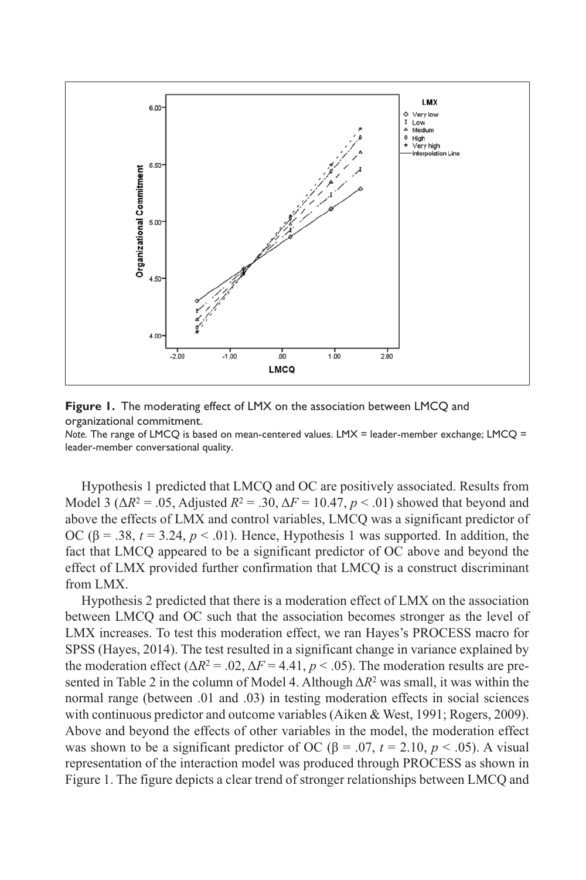



*Note.* The range of LMCQ is based on mean-centered values. LMX = leader-member exchange; LMCQ = leader-member conversational quality.

Hypothesis 1 predicted that LMCQ and OC are positively associated. Results from Model 3 ( $\Delta R^2$  = .05, Adjusted  $R^2$  = .30,  $\Delta F$  = 10.47,  $p$  < .01) showed that beyond and above the effects of LMX and control variables, LMCQ was a significant predictor of OC (β = .38,  $t = 3.24$ ,  $p < .01$ ). Hence, Hypothesis 1 was supported. In addition, the fact that LMCQ appeared to be a significant predictor of OC above and beyond the effect of LMX provided further confirmation that LMCQ is a construct discriminant from LMX.

Hypothesis 2 predicted that there is a moderation effect of LMX on the association between LMCQ and OC such that the association becomes stronger as the level of LMX increases. To test this moderation effect, we ran Hayes's PROCESS macro for SPSS (Hayes, 2014). The test resulted in a significant change in variance explained by the moderation effect ( $\Delta R^2 = .02$ ,  $\Delta F = 4.41$ ,  $p < .05$ ). The moderation results are presented in Table 2 in the column of Model 4. Although Δ*R*2 was small, it was within the normal range (between .01 and .03) in testing moderation effects in social sciences with continuous predictor and outcome variables (Aiken & West, 1991; Rogers, 2009). Above and beyond the effects of other variables in the model, the moderation effect was shown to be a significant predictor of OC ( $\beta$  = .07, *t* = 2.10, *p* < .05). A visual representation of the interaction model was produced through PROCESS as shown in Figure 1. The figure depicts a clear trend of stronger relationships between LMCQ and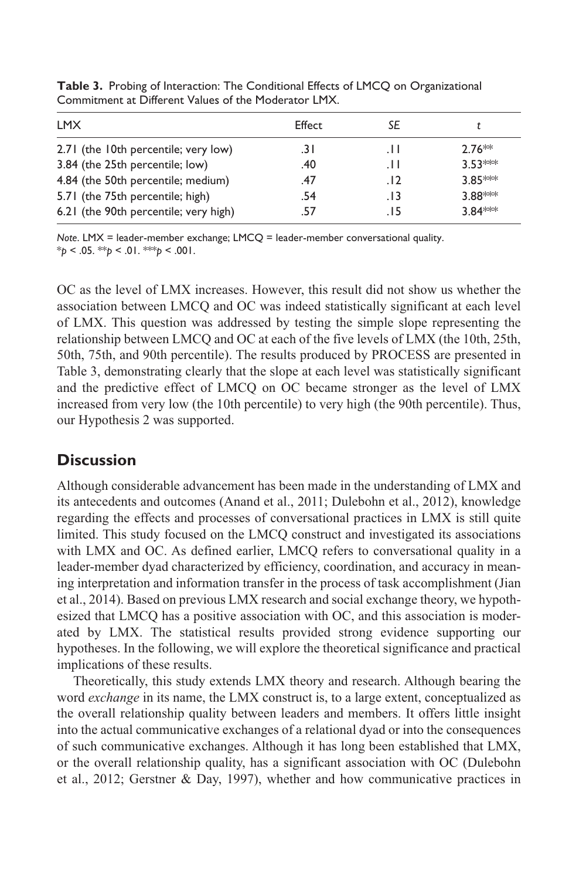| <b>LMX</b>                            | Effect | SF    |           |
|---------------------------------------|--------|-------|-----------|
| 2.71 (the 10th percentile; very low)  | .3 I   | $\pm$ | $2.76**$  |
| 3.84 (the 25th percentile; low)       | .40    | . I I | $3.53***$ |
| 4.84 (the 50th percentile; medium)    | .47    | . 12  | $3.85***$ |
| 5.71 (the 75th percentile; high)      | .54    | . I 3 | 3.88***   |
| 6.21 (the 90th percentile; very high) | .57    | . I 5 | 3.84 ***  |
|                                       |        |       |           |

**Table 3.** Probing of Interaction: The Conditional Effects of LMCQ on Organizational Commitment at Different Values of the Moderator LMX.

*Note*. LMX = leader-member exchange; LMCQ = leader-member conversational quality. \**p* < .05. \*\**p* < .01. \*\*\**p* < .001.

OC as the level of LMX increases. However, this result did not show us whether the association between LMCQ and OC was indeed statistically significant at each level of LMX. This question was addressed by testing the simple slope representing the relationship between LMCQ and OC at each of the five levels of LMX (the 10th, 25th, 50th, 75th, and 90th percentile). The results produced by PROCESS are presented in Table 3, demonstrating clearly that the slope at each level was statistically significant and the predictive effect of LMCQ on OC became stronger as the level of LMX increased from very low (the 10th percentile) to very high (the 90th percentile). Thus, our Hypothesis 2 was supported.

## **Discussion**

Although considerable advancement has been made in the understanding of LMX and its antecedents and outcomes (Anand et al., 2011; Dulebohn et al., 2012), knowledge regarding the effects and processes of conversational practices in LMX is still quite limited. This study focused on the LMCQ construct and investigated its associations with LMX and OC. As defined earlier, LMCQ refers to conversational quality in a leader-member dyad characterized by efficiency, coordination, and accuracy in meaning interpretation and information transfer in the process of task accomplishment (Jian et al., 2014). Based on previous LMX research and social exchange theory, we hypothesized that LMCQ has a positive association with OC, and this association is moderated by LMX. The statistical results provided strong evidence supporting our hypotheses. In the following, we will explore the theoretical significance and practical implications of these results.

Theoretically, this study extends LMX theory and research. Although bearing the word *exchange* in its name, the LMX construct is, to a large extent, conceptualized as the overall relationship quality between leaders and members. It offers little insight into the actual communicative exchanges of a relational dyad or into the consequences of such communicative exchanges. Although it has long been established that LMX, or the overall relationship quality, has a significant association with OC (Dulebohn et al., 2012; Gerstner & Day, 1997), whether and how communicative practices in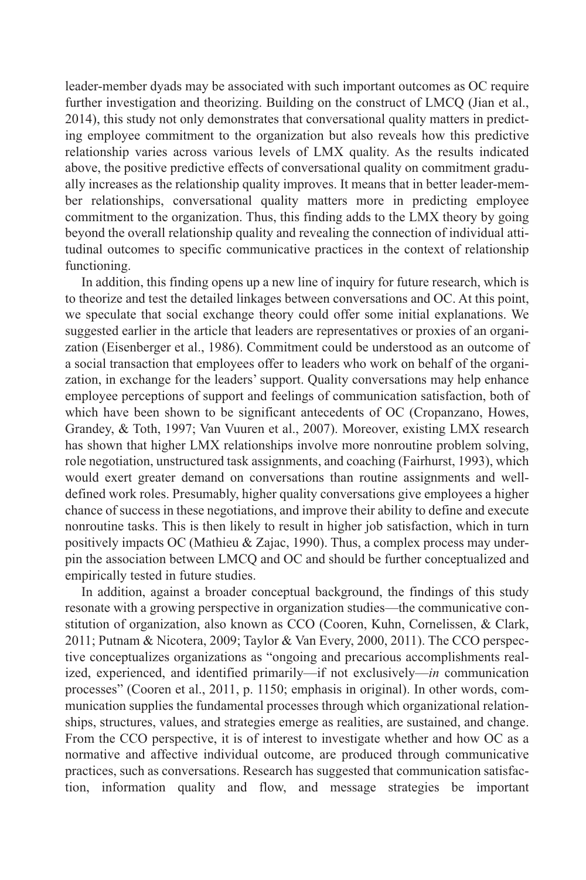leader-member dyads may be associated with such important outcomes as OC require further investigation and theorizing. Building on the construct of LMCQ (Jian et al., 2014), this study not only demonstrates that conversational quality matters in predicting employee commitment to the organization but also reveals how this predictive relationship varies across various levels of LMX quality. As the results indicated above, the positive predictive effects of conversational quality on commitment gradually increases as the relationship quality improves. It means that in better leader-member relationships, conversational quality matters more in predicting employee commitment to the organization. Thus, this finding adds to the LMX theory by going beyond the overall relationship quality and revealing the connection of individual attitudinal outcomes to specific communicative practices in the context of relationship functioning.

In addition, this finding opens up a new line of inquiry for future research, which is to theorize and test the detailed linkages between conversations and OC. At this point, we speculate that social exchange theory could offer some initial explanations. We suggested earlier in the article that leaders are representatives or proxies of an organization (Eisenberger et al., 1986). Commitment could be understood as an outcome of a social transaction that employees offer to leaders who work on behalf of the organization, in exchange for the leaders' support. Quality conversations may help enhance employee perceptions of support and feelings of communication satisfaction, both of which have been shown to be significant antecedents of OC (Cropanzano, Howes, Grandey, & Toth, 1997; Van Vuuren et al., 2007). Moreover, existing LMX research has shown that higher LMX relationships involve more nonroutine problem solving, role negotiation, unstructured task assignments, and coaching (Fairhurst, 1993), which would exert greater demand on conversations than routine assignments and welldefined work roles. Presumably, higher quality conversations give employees a higher chance of success in these negotiations, and improve their ability to define and execute nonroutine tasks. This is then likely to result in higher job satisfaction, which in turn positively impacts OC (Mathieu & Zajac, 1990). Thus, a complex process may underpin the association between LMCQ and OC and should be further conceptualized and empirically tested in future studies.

In addition, against a broader conceptual background, the findings of this study resonate with a growing perspective in organization studies—the communicative constitution of organization, also known as CCO (Cooren, Kuhn, Cornelissen, & Clark, 2011; Putnam & Nicotera, 2009; Taylor & Van Every, 2000, 2011). The CCO perspective conceptualizes organizations as "ongoing and precarious accomplishments realized, experienced, and identified primarily—if not exclusively—*in* communication processes" (Cooren et al., 2011, p. 1150; emphasis in original). In other words, communication supplies the fundamental processes through which organizational relationships, structures, values, and strategies emerge as realities, are sustained, and change. From the CCO perspective, it is of interest to investigate whether and how OC as a normative and affective individual outcome, are produced through communicative practices, such as conversations. Research has suggested that communication satisfaction, information quality and flow, and message strategies be important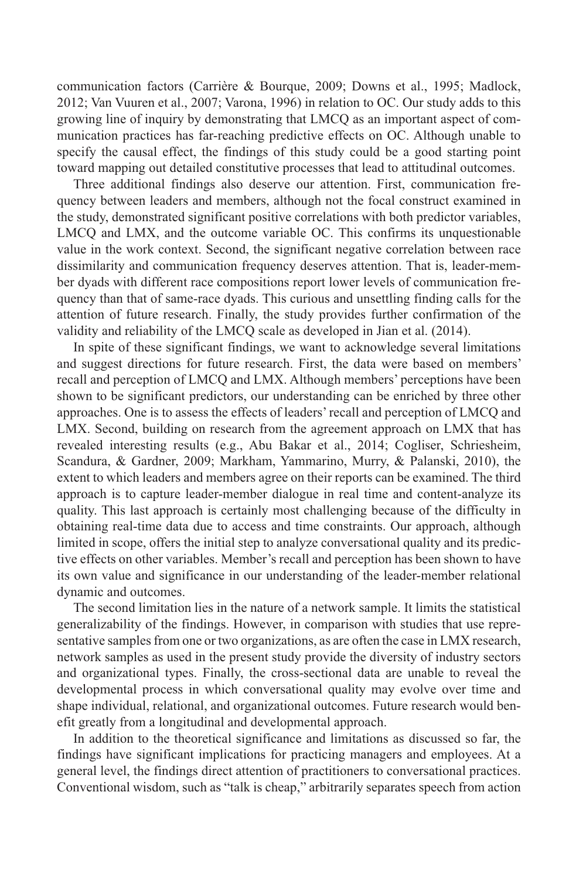communication factors (Carrière & Bourque, 2009; Downs et al., 1995; Madlock, 2012; Van Vuuren et al., 2007; Varona, 1996) in relation to OC. Our study adds to this growing line of inquiry by demonstrating that LMCQ as an important aspect of communication practices has far-reaching predictive effects on OC. Although unable to specify the causal effect, the findings of this study could be a good starting point toward mapping out detailed constitutive processes that lead to attitudinal outcomes.

Three additional findings also deserve our attention. First, communication frequency between leaders and members, although not the focal construct examined in the study, demonstrated significant positive correlations with both predictor variables, LMCQ and LMX, and the outcome variable OC. This confirms its unquestionable value in the work context. Second, the significant negative correlation between race dissimilarity and communication frequency deserves attention. That is, leader-member dyads with different race compositions report lower levels of communication frequency than that of same-race dyads. This curious and unsettling finding calls for the attention of future research. Finally, the study provides further confirmation of the validity and reliability of the LMCQ scale as developed in Jian et al. (2014).

In spite of these significant findings, we want to acknowledge several limitations and suggest directions for future research. First, the data were based on members' recall and perception of LMCQ and LMX. Although members' perceptions have been shown to be significant predictors, our understanding can be enriched by three other approaches. One is to assess the effects of leaders' recall and perception of LMCQ and LMX. Second, building on research from the agreement approach on LMX that has revealed interesting results (e.g., Abu Bakar et al., 2014; Cogliser, Schriesheim, Scandura, & Gardner, 2009; Markham, Yammarino, Murry, & Palanski, 2010), the extent to which leaders and members agree on their reports can be examined. The third approach is to capture leader-member dialogue in real time and content-analyze its quality. This last approach is certainly most challenging because of the difficulty in obtaining real-time data due to access and time constraints. Our approach, although limited in scope, offers the initial step to analyze conversational quality and its predictive effects on other variables. Member's recall and perception has been shown to have its own value and significance in our understanding of the leader-member relational dynamic and outcomes.

The second limitation lies in the nature of a network sample. It limits the statistical generalizability of the findings. However, in comparison with studies that use representative samples from one or two organizations, as are often the case in LMX research, network samples as used in the present study provide the diversity of industry sectors and organizational types. Finally, the cross-sectional data are unable to reveal the developmental process in which conversational quality may evolve over time and shape individual, relational, and organizational outcomes. Future research would benefit greatly from a longitudinal and developmental approach.

In addition to the theoretical significance and limitations as discussed so far, the findings have significant implications for practicing managers and employees. At a general level, the findings direct attention of practitioners to conversational practices. Conventional wisdom, such as "talk is cheap," arbitrarily separates speech from action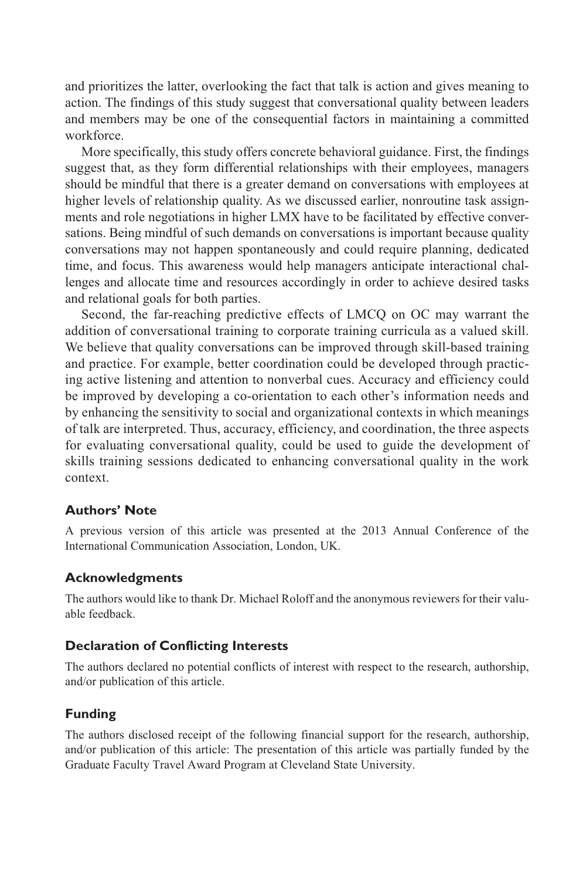and prioritizes the latter, overlooking the fact that talk is action and gives meaning to action. The findings of this study suggest that conversational quality between leaders and members may be one of the consequential factors in maintaining a committed workforce.

More specifically, this study offers concrete behavioral guidance. First, the findings suggest that, as they form differential relationships with their employees, managers should be mindful that there is a greater demand on conversations with employees at higher levels of relationship quality. As we discussed earlier, nonroutine task assignments and role negotiations in higher LMX have to be facilitated by effective conversations. Being mindful of such demands on conversations is important because quality conversations may not happen spontaneously and could require planning, dedicated time, and focus. This awareness would help managers anticipate interactional challenges and allocate time and resources accordingly in order to achieve desired tasks and relational goals for both parties.

Second, the far-reaching predictive effects of LMCQ on OC may warrant the addition of conversational training to corporate training curricula as a valued skill. We believe that quality conversations can be improved through skill-based training and practice. For example, better coordination could be developed through practicing active listening and attention to nonverbal cues. Accuracy and efficiency could be improved by developing a co-orientation to each other's information needs and by enhancing the sensitivity to social and organizational contexts in which meanings of talk are interpreted. Thus, accuracy, efficiency, and coordination, the three aspects for evaluating conversational quality, could be used to guide the development of skills training sessions dedicated to enhancing conversational quality in the work context.

#### **Authors' Note**

A previous version of this article was presented at the 2013 Annual Conference of the International Communication Association, London, UK.

#### **Acknowledgments**

The authors would like to thank Dr. Michael Roloff and the anonymous reviewers for their valuable feedback.

#### **Declaration of Conflicting Interests**

The authors declared no potential conflicts of interest with respect to the research, authorship, and/or publication of this article.

#### **Funding**

The authors disclosed receipt of the following financial support for the research, authorship, and/or publication of this article: The presentation of this article was partially funded by the Graduate Faculty Travel Award Program at Cleveland State University.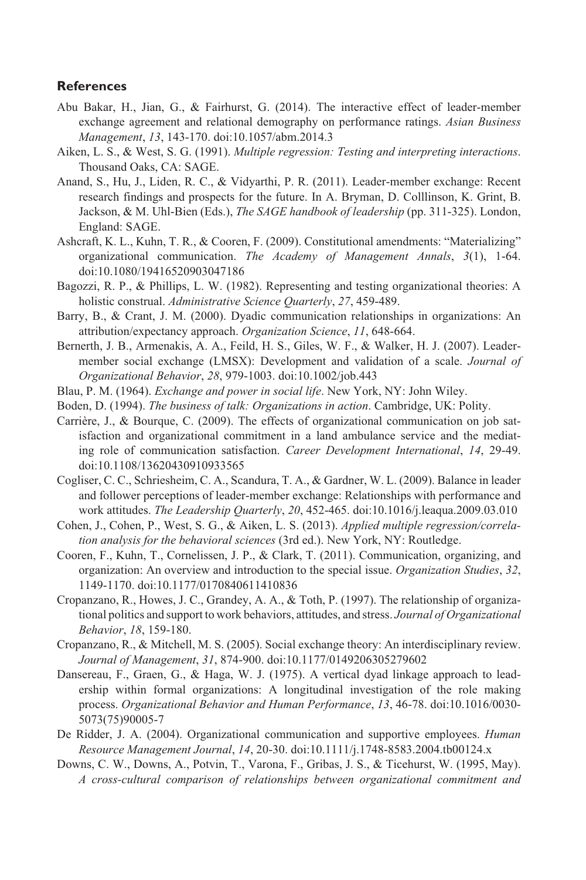#### **References**

- Abu Bakar, H., Jian, G., & Fairhurst, G. (2014). The interactive effect of leader-member exchange agreement and relational demography on performance ratings. *Asian Business Management*, *13*, 143-170. doi:10.1057/abm.2014.3
- Aiken, L. S., & West, S. G. (1991). *Multiple regression: Testing and interpreting interactions*. Thousand Oaks, CA: SAGE.
- Anand, S., Hu, J., Liden, R. C., & Vidyarthi, P. R. (2011). Leader-member exchange: Recent research findings and prospects for the future. In A. Bryman, D. Colllinson, K. Grint, B. Jackson, & M. Uhl-Bien (Eds.), *The SAGE handbook of leadership* (pp. 311-325). London, England: SAGE.
- Ashcraft, K. L., Kuhn, T. R., & Cooren, F. (2009). Constitutional amendments: "Materializing" organizational communication. *The Academy of Management Annals*, *3*(1), 1-64. doi:10.1080/19416520903047186
- Bagozzi, R. P., & Phillips, L. W. (1982). Representing and testing organizational theories: A holistic construal. *Administrative Science Quarterly*, *27*, 459-489.
- Barry, B., & Crant, J. M. (2000). Dyadic communication relationships in organizations: An attribution/expectancy approach. *Organization Science*, *11*, 648-664.
- Bernerth, J. B., Armenakis, A. A., Feild, H. S., Giles, W. F., & Walker, H. J. (2007). Leadermember social exchange (LMSX): Development and validation of a scale. *Journal of Organizational Behavior*, *28*, 979-1003. doi:10.1002/job.443
- Blau, P. M. (1964). *Exchange and power in social life*. New York, NY: John Wiley.
- Boden, D. (1994). *The business of talk: Organizations in action*. Cambridge, UK: Polity.
- Carrière, J., & Bourque, C. (2009). The effects of organizational communication on job satisfaction and organizational commitment in a land ambulance service and the mediating role of communication satisfaction. *Career Development International*, *14*, 29-49. doi:10.1108/13620430910933565
- Cogliser, C. C., Schriesheim, C. A., Scandura, T. A., & Gardner, W. L. (2009). Balance in leader and follower perceptions of leader-member exchange: Relationships with performance and work attitudes. *The Leadership Quarterly*, *20*, 452-465. doi:10.1016/j.leaqua.2009.03.010
- Cohen, J., Cohen, P., West, S. G., & Aiken, L. S. (2013). *Applied multiple regression/correlation analysis for the behavioral sciences* (3rd ed.). New York, NY: Routledge.
- Cooren, F., Kuhn, T., Cornelissen, J. P., & Clark, T. (2011). Communication, organizing, and organization: An overview and introduction to the special issue. *Organization Studies*, *32*, 1149-1170. doi:10.1177/0170840611410836
- Cropanzano, R., Howes, J. C., Grandey, A. A., & Toth, P. (1997). The relationship of organizational politics and support to work behaviors, attitudes, and stress. *Journal of Organizational Behavior*, *18*, 159-180.
- Cropanzano, R., & Mitchell, M. S. (2005). Social exchange theory: An interdisciplinary review. *Journal of Management*, *31*, 874-900. doi:10.1177/0149206305279602
- Dansereau, F., Graen, G., & Haga, W. J. (1975). A vertical dyad linkage approach to leadership within formal organizations: A longitudinal investigation of the role making process. *Organizational Behavior and Human Performance*, *13*, 46-78. doi:10.1016/0030- 5073(75)90005-7
- De Ridder, J. A. (2004). Organizational communication and supportive employees. *Human Resource Management Journal*, *14*, 20-30. doi:10.1111/j.1748-8583.2004.tb00124.x
- Downs, C. W., Downs, A., Potvin, T., Varona, F., Gribas, J. S., & Ticehurst, W. (1995, May). *A cross-cultural comparison of relationships between organizational commitment and*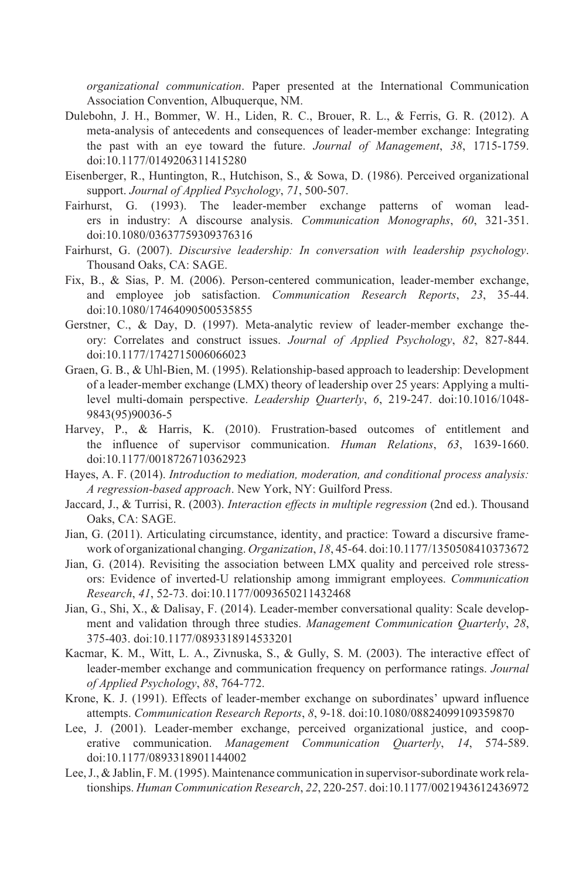*organizational communication*. Paper presented at the International Communication Association Convention, Albuquerque, NM.

- Dulebohn, J. H., Bommer, W. H., Liden, R. C., Brouer, R. L., & Ferris, G. R. (2012). A meta-analysis of antecedents and consequences of leader-member exchange: Integrating the past with an eye toward the future. *Journal of Management*, *38*, 1715-1759. doi:10.1177/0149206311415280
- Eisenberger, R., Huntington, R., Hutchison, S., & Sowa, D. (1986). Perceived organizational support. *Journal of Applied Psychology*, *71*, 500-507.
- Fairhurst, G. (1993). The leader-member exchange patterns of woman leaders in industry: A discourse analysis. *Communication Monographs*, *60*, 321-351. doi:10.1080/03637759309376316
- Fairhurst, G. (2007). *Discursive leadership: In conversation with leadership psychology*. Thousand Oaks, CA: SAGE.
- Fix, B., & Sias, P. M. (2006). Person-centered communication, leader-member exchange, and employee job satisfaction. *Communication Research Reports*, *23*, 35-44. doi:10.1080/17464090500535855
- Gerstner, C., & Day, D. (1997). Meta-analytic review of leader-member exchange theory: Correlates and construct issues. *Journal of Applied Psychology*, *82*, 827-844. doi:10.1177/1742715006066023
- Graen, G. B., & Uhl-Bien, M. (1995). Relationship-based approach to leadership: Development of a leader-member exchange (LMX) theory of leadership over 25 years: Applying a multilevel multi-domain perspective. *Leadership Quarterly*, *6*, 219-247. doi:10.1016/1048- 9843(95)90036-5
- Harvey, P., & Harris, K. (2010). Frustration-based outcomes of entitlement and the influence of supervisor communication. *Human Relations*, *63*, 1639-1660. doi:10.1177/0018726710362923
- Hayes, A. F. (2014). *Introduction to mediation, moderation, and conditional process analysis: A regression-based approach*. New York, NY: Guilford Press.
- Jaccard, J., & Turrisi, R. (2003). *Interaction effects in multiple regression* (2nd ed.). Thousand Oaks, CA: SAGE.
- Jian, G. (2011). Articulating circumstance, identity, and practice: Toward a discursive framework of organizational changing. *Organization*, *18*, 45-64. doi:10.1177/1350508410373672
- Jian, G. (2014). Revisiting the association between LMX quality and perceived role stressors: Evidence of inverted-U relationship among immigrant employees. *Communication Research*, *41*, 52-73. doi:10.1177/0093650211432468
- Jian, G., Shi, X., & Dalisay, F. (2014). Leader-member conversational quality: Scale development and validation through three studies. *Management Communication Quarterly*, *28*, 375-403. doi:10.1177/0893318914533201
- Kacmar, K. M., Witt, L. A., Zivnuska, S., & Gully, S. M. (2003). The interactive effect of leader-member exchange and communication frequency on performance ratings. *Journal of Applied Psychology*, *88*, 764-772.
- Krone, K. J. (1991). Effects of leader-member exchange on subordinates' upward influence attempts. *Communication Research Reports*, *8*, 9-18. doi:10.1080/08824099109359870
- Lee, J. (2001). Leader-member exchange, perceived organizational justice, and cooperative communication. *Management Communication Quarterly*, *14*, 574-589. doi:10.1177/0893318901144002
- Lee, J., & Jablin, F. M. (1995). Maintenance communication in supervisor-subordinate work relationships. *Human Communication Research*, *22*, 220-257. doi:10.1177/0021943612436972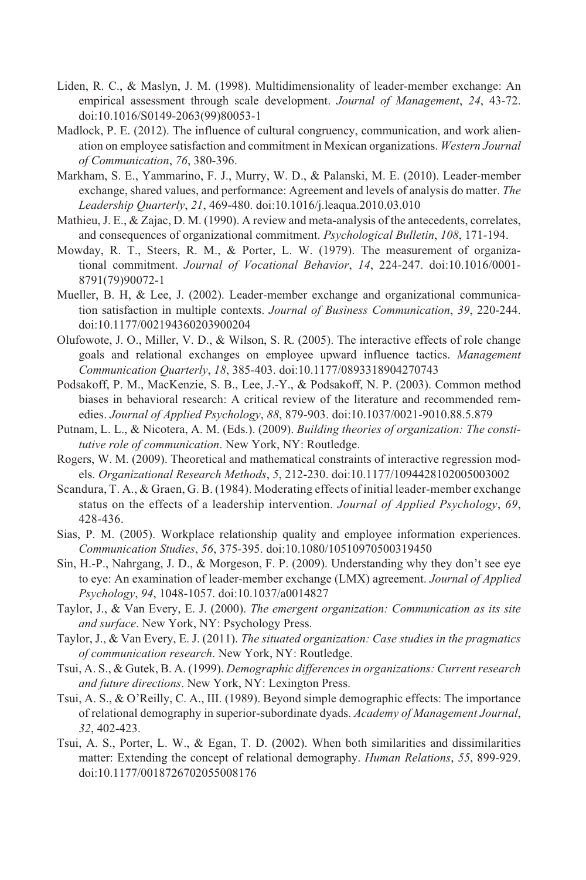- Liden, R. C., & Maslyn, J. M. (1998). Multidimensionality of leader-member exchange: An empirical assessment through scale development. *Journal of Management*, *24*, 43-72. doi:10.1016/S0149-2063(99)80053-1
- Madlock, P. E. (2012). The influence of cultural congruency, communication, and work alienation on employee satisfaction and commitment in Mexican organizations. *Western Journal of Communication*, *76*, 380-396.
- Markham, S. E., Yammarino, F. J., Murry, W. D., & Palanski, M. E. (2010). Leader-member exchange, shared values, and performance: Agreement and levels of analysis do matter. *The Leadership Quarterly*, *21*, 469-480. doi:10.1016/j.leaqua.2010.03.010
- Mathieu, J. E., & Zajac, D. M. (1990). A review and meta-analysis of the antecedents, correlates, and consequences of organizational commitment. *Psychological Bulletin*, *108*, 171-194.
- Mowday, R. T., Steers, R. M., & Porter, L. W. (1979). The measurement of organizational commitment. *Journal of Vocational Behavior*, *14*, 224-247. doi:10.1016/0001- 8791(79)90072-1
- Mueller, B. H, & Lee, J. (2002). Leader-member exchange and organizational communication satisfaction in multiple contexts. *Journal of Business Communication*, *39*, 220-244. doi:10.1177/002194360203900204
- Olufowote, J. O., Miller, V. D., & Wilson, S. R. (2005). The interactive effects of role change goals and relational exchanges on employee upward influence tactics. *Management Communication Quarterly*, *18*, 385-403. doi:10.1177/0893318904270743
- Podsakoff, P. M., MacKenzie, S. B., Lee, J.-Y., & Podsakoff, N. P. (2003). Common method biases in behavioral research: A critical review of the literature and recommended remedies. *Journal of Applied Psychology*, *88*, 879-903. doi:10.1037/0021-9010.88.5.879
- Putnam, L. L., & Nicotera, A. M. (Eds.). (2009). *Building theories of organization: The constitutive role of communication*. New York, NY: Routledge.
- Rogers, W. M. (2009). Theoretical and mathematical constraints of interactive regression models. *Organizational Research Methods*, *5*, 212-230. doi:10.1177/1094428102005003002
- Scandura, T. A., & Graen, G. B. (1984). Moderating effects of initial leader-member exchange status on the effects of a leadership intervention. *Journal of Applied Psychology*, *69*, 428-436.
- Sias, P. M. (2005). Workplace relationship quality and employee information experiences. *Communication Studies*, *56*, 375-395. doi:10.1080/10510970500319450
- Sin, H.-P., Nahrgang, J. D., & Morgeson, F. P. (2009). Understanding why they don't see eye to eye: An examination of leader-member exchange (LMX) agreement. *Journal of Applied Psychology*, *94*, 1048-1057. doi:10.1037/a0014827
- Taylor, J., & Van Every, E. J. (2000). *The emergent organization: Communication as its site and surface*. New York, NY: Psychology Press.
- Taylor, J., & Van Every, E. J. (2011). *The situated organization: Case studies in the pragmatics of communication research*. New York, NY: Routledge.
- Tsui, A. S., & Gutek, B. A. (1999). *Demographic differences in organizations: Current research and future directions*. New York, NY: Lexington Press.
- Tsui, A. S., & O'Reilly, C. A., III. (1989). Beyond simple demographic effects: The importance of relational demography in superior-subordinate dyads. *Academy of Management Journal*, *32*, 402-423.
- Tsui, A. S., Porter, L. W., & Egan, T. D. (2002). When both similarities and dissimilarities matter: Extending the concept of relational demography. *Human Relations*, *55*, 899-929. doi:10.1177/0018726702055008176